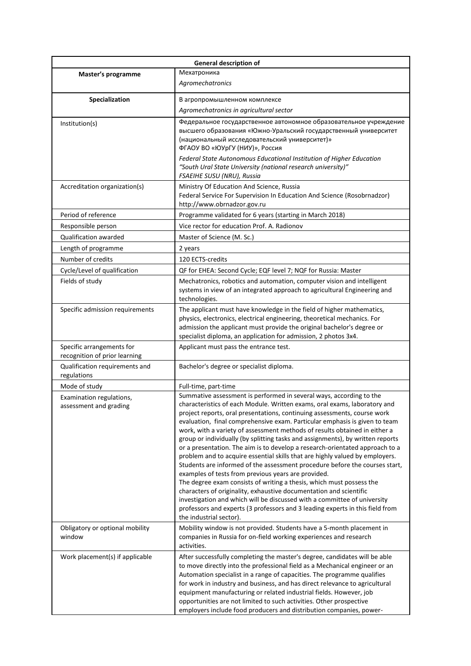| <b>General description of</b>                              |                                                                                                                                                                                                                                                                                                                                                                                                                                                                                                                                                                                                                                                                                                                                                                                                                                                                                                                                                                                                                                                                                                                        |  |  |  |  |
|------------------------------------------------------------|------------------------------------------------------------------------------------------------------------------------------------------------------------------------------------------------------------------------------------------------------------------------------------------------------------------------------------------------------------------------------------------------------------------------------------------------------------------------------------------------------------------------------------------------------------------------------------------------------------------------------------------------------------------------------------------------------------------------------------------------------------------------------------------------------------------------------------------------------------------------------------------------------------------------------------------------------------------------------------------------------------------------------------------------------------------------------------------------------------------------|--|--|--|--|
| Master's programme                                         | Мехатроника                                                                                                                                                                                                                                                                                                                                                                                                                                                                                                                                                                                                                                                                                                                                                                                                                                                                                                                                                                                                                                                                                                            |  |  |  |  |
|                                                            | Agromechatronics                                                                                                                                                                                                                                                                                                                                                                                                                                                                                                                                                                                                                                                                                                                                                                                                                                                                                                                                                                                                                                                                                                       |  |  |  |  |
| Specialization                                             | В агропромышленном комплексе                                                                                                                                                                                                                                                                                                                                                                                                                                                                                                                                                                                                                                                                                                                                                                                                                                                                                                                                                                                                                                                                                           |  |  |  |  |
|                                                            | Agromechatronics in agricultural sector                                                                                                                                                                                                                                                                                                                                                                                                                                                                                                                                                                                                                                                                                                                                                                                                                                                                                                                                                                                                                                                                                |  |  |  |  |
| Institution(s)                                             | Федеральное государственное автономное образовательное учреждение<br>высшего образования «Южно-Уральский государственный университет<br>(национальный исследовательский университет)»<br>ФГАОУ ВО «ЮУрГУ (НИУ)», Россия<br>Federal State Autonomous Educational Institution of Higher Education<br>"South Ural State University (national research university)"                                                                                                                                                                                                                                                                                                                                                                                                                                                                                                                                                                                                                                                                                                                                                        |  |  |  |  |
| Accreditation organization(s)                              | FSAEIHE SUSU (NRU), Russia<br>Ministry Of Education And Science, Russia<br>Federal Service For Supervision In Education And Science (Rosobrnadzor)                                                                                                                                                                                                                                                                                                                                                                                                                                                                                                                                                                                                                                                                                                                                                                                                                                                                                                                                                                     |  |  |  |  |
|                                                            | http://www.obrnadzor.gov.ru                                                                                                                                                                                                                                                                                                                                                                                                                                                                                                                                                                                                                                                                                                                                                                                                                                                                                                                                                                                                                                                                                            |  |  |  |  |
| Period of reference                                        | Programme validated for 6 years (starting in March 2018)                                                                                                                                                                                                                                                                                                                                                                                                                                                                                                                                                                                                                                                                                                                                                                                                                                                                                                                                                                                                                                                               |  |  |  |  |
| Responsible person                                         | Vice rector for education Prof. A. Radionov                                                                                                                                                                                                                                                                                                                                                                                                                                                                                                                                                                                                                                                                                                                                                                                                                                                                                                                                                                                                                                                                            |  |  |  |  |
| <b>Qualification awarded</b>                               | Master of Science (M. Sc.)                                                                                                                                                                                                                                                                                                                                                                                                                                                                                                                                                                                                                                                                                                                                                                                                                                                                                                                                                                                                                                                                                             |  |  |  |  |
| Length of programme                                        | 2 years                                                                                                                                                                                                                                                                                                                                                                                                                                                                                                                                                                                                                                                                                                                                                                                                                                                                                                                                                                                                                                                                                                                |  |  |  |  |
| Number of credits                                          | 120 ECTS-credits                                                                                                                                                                                                                                                                                                                                                                                                                                                                                                                                                                                                                                                                                                                                                                                                                                                                                                                                                                                                                                                                                                       |  |  |  |  |
| Cycle/Level of qualification                               | QF for EHEA: Second Cycle; EQF level 7; NQF for Russia: Master                                                                                                                                                                                                                                                                                                                                                                                                                                                                                                                                                                                                                                                                                                                                                                                                                                                                                                                                                                                                                                                         |  |  |  |  |
| Fields of study                                            | Mechatronics, robotics and automation, computer vision and intelligent<br>systems in view of an integrated approach to agricultural Engineering and<br>technologies.                                                                                                                                                                                                                                                                                                                                                                                                                                                                                                                                                                                                                                                                                                                                                                                                                                                                                                                                                   |  |  |  |  |
| Specific admission requirements                            | The applicant must have knowledge in the field of higher mathematics,<br>physics, electronics, electrical engineering, theoretical mechanics. For<br>admission the applicant must provide the original bachelor's degree or<br>specialist diploma, an application for admission, 2 photos 3x4.                                                                                                                                                                                                                                                                                                                                                                                                                                                                                                                                                                                                                                                                                                                                                                                                                         |  |  |  |  |
| Specific arrangements for<br>recognition of prior learning | Applicant must pass the entrance test.                                                                                                                                                                                                                                                                                                                                                                                                                                                                                                                                                                                                                                                                                                                                                                                                                                                                                                                                                                                                                                                                                 |  |  |  |  |
| Qualification requirements and<br>regulations              | Bachelor's degree or specialist diploma.                                                                                                                                                                                                                                                                                                                                                                                                                                                                                                                                                                                                                                                                                                                                                                                                                                                                                                                                                                                                                                                                               |  |  |  |  |
| Mode of study                                              | Full-time, part-time                                                                                                                                                                                                                                                                                                                                                                                                                                                                                                                                                                                                                                                                                                                                                                                                                                                                                                                                                                                                                                                                                                   |  |  |  |  |
| Examination regulations,<br>assessment and grading         | Summative assessment is performed in several ways, according to the<br>characteristics of each Module. Written exams, oral exams, laboratory and<br>project reports, oral presentations, continuing assessments, course work<br>evaluation, final comprehensive exam. Particular emphasis is given to team<br>work, with a variety of assessment methods of results obtained in either a<br>group or individually (by splitting tasks and assignments), by written reports<br>or a presentation. The aim is to develop a research-orientated approach to a<br>problem and to acquire essential skills that are highly valued by employers.<br>Students are informed of the assessment procedure before the courses start,<br>examples of tests from previous years are provided.<br>The degree exam consists of writing a thesis, which must possess the<br>characters of originality, exhaustive documentation and scientific<br>investigation and which will be discussed with a committee of university<br>professors and experts (3 professors and 3 leading experts in this field from<br>the industrial sector). |  |  |  |  |
| Obligatory or optional mobility<br>window                  | Mobility window is not provided. Students have a 5-month placement in<br>companies in Russia for on-field working experiences and research<br>activities.                                                                                                                                                                                                                                                                                                                                                                                                                                                                                                                                                                                                                                                                                                                                                                                                                                                                                                                                                              |  |  |  |  |
| Work placement(s) if applicable                            | After successfully completing the master's degree, candidates will be able<br>to move directly into the professional field as a Mechanical engineer or an<br>Automation specialist in a range of capacities. The programme qualifies<br>for work in industry and business, and has direct relevance to agricultural<br>equipment manufacturing or related industrial fields. However, job<br>opportunities are not limited to such activities. Other prospective<br>employers include food producers and distribution companies, power-                                                                                                                                                                                                                                                                                                                                                                                                                                                                                                                                                                                |  |  |  |  |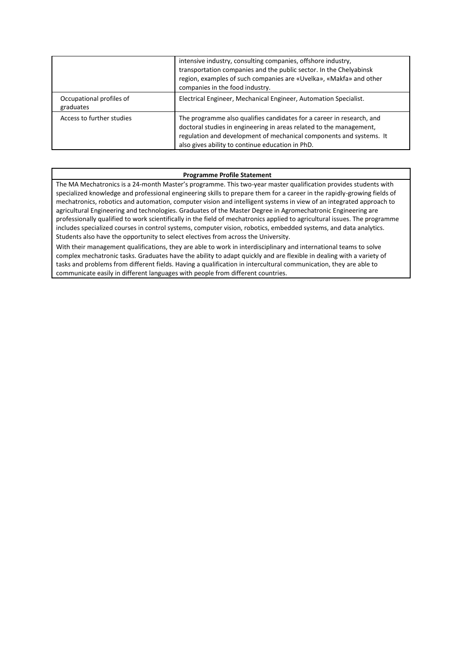|                                       | intensive industry, consulting companies, offshore industry,<br>transportation companies and the public sector. In the Chelyabinsk<br>region, examples of such companies are «Uvelka», «Makfa» and other<br>companies in the food industry.                             |
|---------------------------------------|-------------------------------------------------------------------------------------------------------------------------------------------------------------------------------------------------------------------------------------------------------------------------|
| Occupational profiles of<br>graduates | Electrical Engineer, Mechanical Engineer, Automation Specialist.                                                                                                                                                                                                        |
| Access to further studies             | The programme also qualifies candidates for a career in research, and<br>doctoral studies in engineering in areas related to the management,<br>regulation and development of mechanical components and systems. It<br>also gives ability to continue education in PhD. |

## **Programme Profile Statement**

The MA Mechatronics is a 24-month Master's programme. This two-year master qualification provides students with specialized knowledge and professional engineering skills to prepare them for a career in the rapidly-growing fields of mechatronics, robotics and automation, computer vision and intelligent systems in view of an integrated approach to agricultural Engineering and technologies. Graduates of the Master Degree in Agromechatronic Engineering are professionally qualified to work scientifically in the field of mechatronics applied to agricultural issues. The programme includes specialized courses in control systems, computer vision, robotics, embedded systems, and data analytics. Students also have the opportunity to select electives from across the University.

With their management qualifications, they are able to work in interdisciplinary and international teams to solve complex mechatronic tasks. Graduates have the ability to adapt quickly and are flexible in dealing with a variety of tasks and problems from different fields. Having a qualification in intercultural communication, they are able to communicate easily in different languages with people from different countries.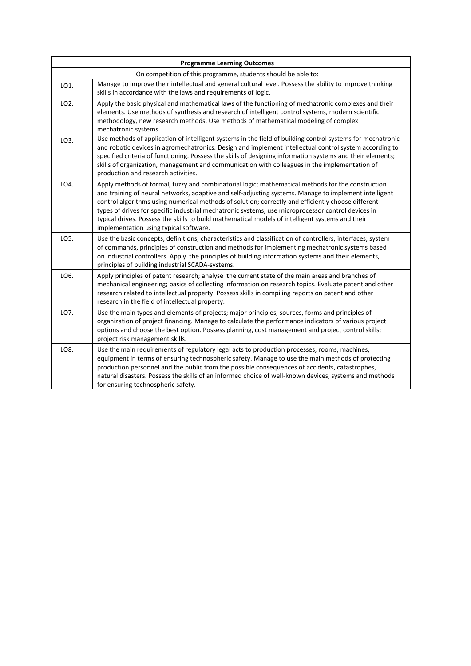| <b>Programme Learning Outcomes</b>                            |                                                                                                                                                                                                                                                                                                                                                                                                                                                                                                                                                                      |  |  |  |  |
|---------------------------------------------------------------|----------------------------------------------------------------------------------------------------------------------------------------------------------------------------------------------------------------------------------------------------------------------------------------------------------------------------------------------------------------------------------------------------------------------------------------------------------------------------------------------------------------------------------------------------------------------|--|--|--|--|
| On competition of this programme, students should be able to: |                                                                                                                                                                                                                                                                                                                                                                                                                                                                                                                                                                      |  |  |  |  |
| LO1.                                                          | Manage to improve their intellectual and general cultural level. Possess the ability to improve thinking<br>skills in accordance with the laws and requirements of logic.                                                                                                                                                                                                                                                                                                                                                                                            |  |  |  |  |
| LO2.                                                          | Apply the basic physical and mathematical laws of the functioning of mechatronic complexes and their<br>elements. Use methods of synthesis and research of intelligent control systems, modern scientific<br>methodology, new research methods. Use methods of mathematical modeling of complex<br>mechatronic systems.                                                                                                                                                                                                                                              |  |  |  |  |
| LO3.                                                          | Use methods of application of intelligent systems in the field of building control systems for mechatronic<br>and robotic devices in agromechatronics. Design and implement intellectual control system according to<br>specified criteria of functioning. Possess the skills of designing information systems and their elements;<br>skills of organization, management and communication with colleagues in the implementation of<br>production and research activities.                                                                                           |  |  |  |  |
| LO4.                                                          | Apply methods of formal, fuzzy and combinatorial logic; mathematical methods for the construction<br>and training of neural networks, adaptive and self-adjusting systems. Manage to implement intelligent<br>control algorithms using numerical methods of solution; correctly and efficiently choose different<br>types of drives for specific industrial mechatronic systems, use microprocessor control devices in<br>typical drives. Possess the skills to build mathematical models of intelligent systems and their<br>implementation using typical software. |  |  |  |  |
| LO5.                                                          | Use the basic concepts, definitions, characteristics and classification of controllers, interfaces; system<br>of commands, principles of construction and methods for implementing mechatronic systems based<br>on industrial controllers. Apply the principles of building information systems and their elements,<br>principles of building industrial SCADA-systems.                                                                                                                                                                                              |  |  |  |  |
| LO6.                                                          | Apply principles of patent research; analyse the current state of the main areas and branches of<br>mechanical engineering; basics of collecting information on research topics. Evaluate patent and other<br>research related to intellectual property. Possess skills in compiling reports on patent and other<br>research in the field of intellectual property.                                                                                                                                                                                                  |  |  |  |  |
| LO7.                                                          | Use the main types and elements of projects; major principles, sources, forms and principles of<br>organization of project financing. Manage to calculate the performance indicators of various project<br>options and choose the best option. Possess planning, cost management and project control skills;<br>project risk management skills.                                                                                                                                                                                                                      |  |  |  |  |
| LO8.                                                          | Use the main requirements of regulatory legal acts to production processes, rooms, machines,<br>equipment in terms of ensuring technospheric safety. Manage to use the main methods of protecting<br>production personnel and the public from the possible consequences of accidents, catastrophes,<br>natural disasters. Possess the skills of an informed choice of well-known devices, systems and methods<br>for ensuring technospheric safety.                                                                                                                  |  |  |  |  |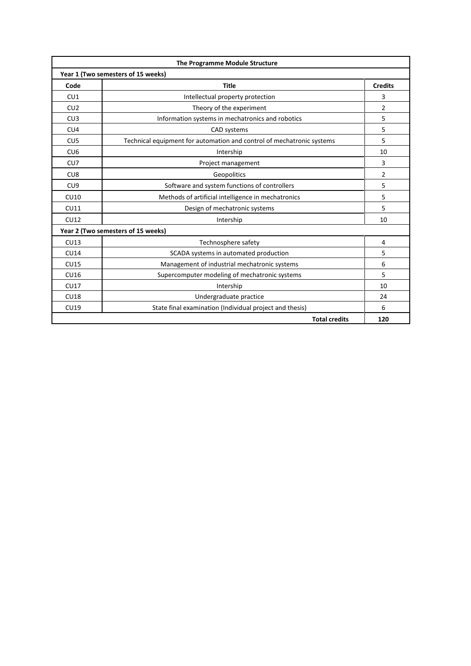| The Programme Module Structure     |                                                                       |     |  |  |  |  |
|------------------------------------|-----------------------------------------------------------------------|-----|--|--|--|--|
| Year 1 (Two semesters of 15 weeks) |                                                                       |     |  |  |  |  |
| Code                               | <b>Title</b>                                                          |     |  |  |  |  |
| CU1                                | Intellectual property protection                                      |     |  |  |  |  |
| CU2                                | Theory of the experiment                                              |     |  |  |  |  |
| CU3                                | Information systems in mechatronics and robotics                      |     |  |  |  |  |
| CU4                                | CAD systems                                                           | 5   |  |  |  |  |
| CU5                                | Technical equipment for automation and control of mechatronic systems | 5   |  |  |  |  |
| CU <sub>6</sub>                    | Intership                                                             | 10  |  |  |  |  |
| CU7                                | Project management                                                    | 3   |  |  |  |  |
| CU <sub>8</sub>                    | Geopolitics                                                           | 2   |  |  |  |  |
| CU <sub>9</sub>                    | Software and system functions of controllers                          | 5   |  |  |  |  |
| CU10                               | Methods of artificial intelligence in mechatronics                    | 5   |  |  |  |  |
| CU11                               | Design of mechatronic systems                                         | 5   |  |  |  |  |
| <b>CU12</b>                        | Intership                                                             | 10  |  |  |  |  |
| Year 2 (Two semesters of 15 weeks) |                                                                       |     |  |  |  |  |
| CU13                               | Technosphere safety                                                   | 4   |  |  |  |  |
| <b>CU14</b>                        | SCADA systems in automated production                                 | 5   |  |  |  |  |
| <b>CU15</b>                        | Management of industrial mechatronic systems                          | 6   |  |  |  |  |
| CU16                               | Supercomputer modeling of mechatronic systems                         | 5   |  |  |  |  |
| CU17                               | Intership                                                             | 10  |  |  |  |  |
| <b>CU18</b>                        | Undergraduate practice                                                | 24  |  |  |  |  |
| <b>CU19</b>                        | State final examination (Individual project and thesis)               | 6   |  |  |  |  |
|                                    | <b>Total credits</b>                                                  | 120 |  |  |  |  |